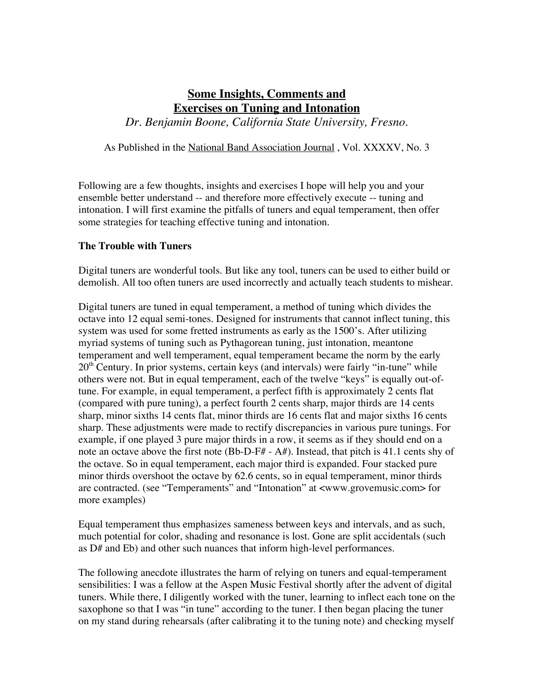# **Some Insights, Comments and Exercises on Tuning and Intonation**

*Dr. Benjamin Boone, California State University, Fresno.*

As Published in the National Band Association Journal , Vol. XXXXV, No. 3

Following are a few thoughts, insights and exercises I hope will help you and your ensemble better understand -- and therefore more effectively execute -- tuning and intonation. I will first examine the pitfalls of tuners and equal temperament, then offer some strategies for teaching effective tuning and intonation.

# **The Trouble with Tuners**

Digital tuners are wonderful tools. But like any tool, tuners can be used to either build or demolish. All too often tuners are used incorrectly and actually teach students to mishear.

Digital tuners are tuned in equal temperament, a method of tuning which divides the octave into 12 equal semi-tones. Designed for instruments that cannot inflect tuning, this system was used for some fretted instruments as early as the 1500's. After utilizing myriad systems of tuning such as Pythagorean tuning, just intonation, meantone temperament and well temperament, equal temperament became the norm by the early  $20<sup>th</sup>$  Century. In prior systems, certain keys (and intervals) were fairly "in-tune" while others were not. But in equal temperament, each of the twelve "keys" is equally out-oftune. For example, in equal temperament, a perfect fifth is approximately 2 cents flat (compared with pure tuning), a perfect fourth 2 cents sharp, major thirds are 14 cents sharp, minor sixths 14 cents flat, minor thirds are 16 cents flat and major sixths 16 cents sharp. These adjustments were made to rectify discrepancies in various pure tunings. For example, if one played 3 pure major thirds in a row, it seems as if they should end on a note an octave above the first note (Bb-D-F# - A#). Instead, that pitch is 41.1 cents shy of the octave. So in equal temperament, each major third is expanded. Four stacked pure minor thirds overshoot the octave by 62.6 cents, so in equal temperament, minor thirds are contracted. (see "Temperaments" and "Intonation" at <www.grovemusic.com> for more examples)

Equal temperament thus emphasizes sameness between keys and intervals, and as such, much potential for color, shading and resonance is lost. Gone are split accidentals (such as D# and Eb) and other such nuances that inform high-level performances.

The following anecdote illustrates the harm of relying on tuners and equal-temperament sensibilities: I was a fellow at the Aspen Music Festival shortly after the advent of digital tuners. While there, I diligently worked with the tuner, learning to inflect each tone on the saxophone so that I was "in tune" according to the tuner. I then began placing the tuner on my stand during rehearsals (after calibrating it to the tuning note) and checking myself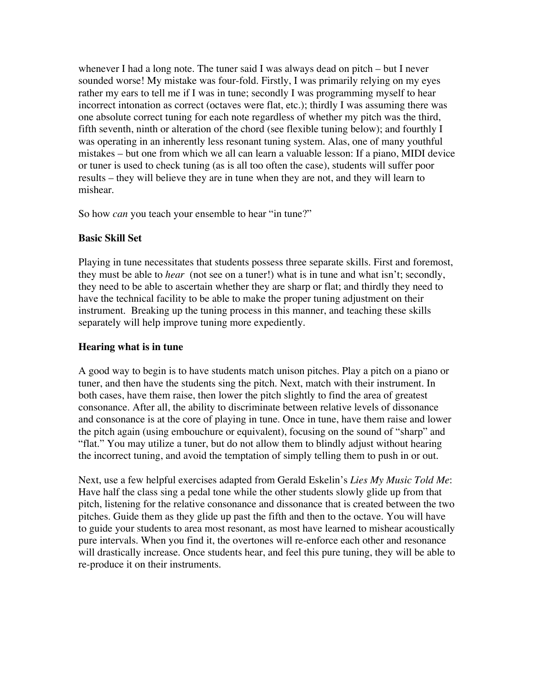whenever I had a long note. The tuner said I was always dead on pitch – but I never sounded worse! My mistake was four-fold. Firstly, I was primarily relying on my eyes rather my ears to tell me if I was in tune; secondly I was programming myself to hear incorrect intonation as correct (octaves were flat, etc.); thirdly I was assuming there was one absolute correct tuning for each note regardless of whether my pitch was the third, fifth seventh, ninth or alteration of the chord (see flexible tuning below); and fourthly I was operating in an inherently less resonant tuning system. Alas, one of many youthful mistakes – but one from which we all can learn a valuable lesson: If a piano, MIDI device or tuner is used to check tuning (as is all too often the case), students will suffer poor results – they will believe they are in tune when they are not, and they will learn to mishear.

So how *can* you teach your ensemble to hear "in tune?"

# **Basic Skill Set**

Playing in tune necessitates that students possess three separate skills. First and foremost, they must be able to *hear* (not see on a tuner!) what is in tune and what isn't; secondly, they need to be able to ascertain whether they are sharp or flat; and thirdly they need to have the technical facility to be able to make the proper tuning adjustment on their instrument. Breaking up the tuning process in this manner, and teaching these skills separately will help improve tuning more expediently.

# **Hearing what is in tune**

A good way to begin is to have students match unison pitches. Play a pitch on a piano or tuner, and then have the students sing the pitch. Next, match with their instrument. In both cases, have them raise, then lower the pitch slightly to find the area of greatest consonance. After all, the ability to discriminate between relative levels of dissonance and consonance is at the core of playing in tune. Once in tune, have them raise and lower the pitch again (using embouchure or equivalent), focusing on the sound of "sharp" and "flat." You may utilize a tuner, but do not allow them to blindly adjust without hearing the incorrect tuning, and avoid the temptation of simply telling them to push in or out.

Next, use a few helpful exercises adapted from Gerald Eskelin's *Lies My Music Told Me*: Have half the class sing a pedal tone while the other students slowly glide up from that pitch, listening for the relative consonance and dissonance that is created between the two pitches. Guide them as they glide up past the fifth and then to the octave. You will have to guide your students to area most resonant, as most have learned to mishear acoustically pure intervals. When you find it, the overtones will re-enforce each other and resonance will drastically increase. Once students hear, and feel this pure tuning, they will be able to re-produce it on their instruments.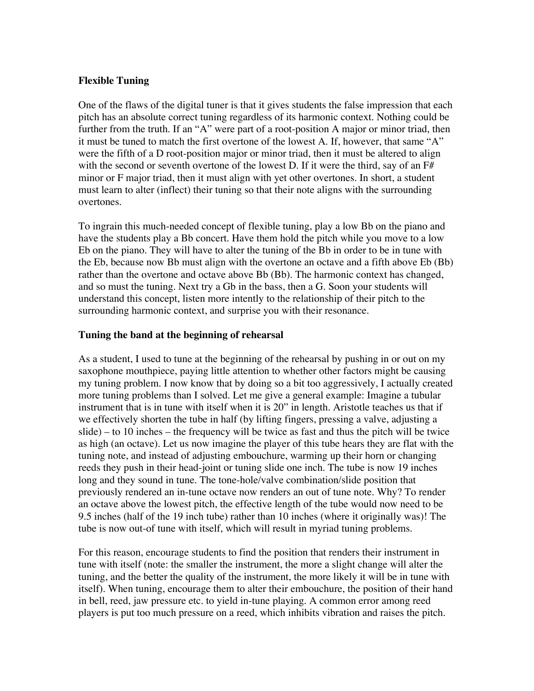# **Flexible Tuning**

One of the flaws of the digital tuner is that it gives students the false impression that each pitch has an absolute correct tuning regardless of its harmonic context. Nothing could be further from the truth. If an "A" were part of a root-position A major or minor triad, then it must be tuned to match the first overtone of the lowest A. If, however, that same "A" were the fifth of a D root-position major or minor triad, then it must be altered to align with the second or seventh overtone of the lowest D. If it were the third, say of an  $F#$ minor or F major triad, then it must align with yet other overtones. In short, a student must learn to alter (inflect) their tuning so that their note aligns with the surrounding overtones.

To ingrain this much-needed concept of flexible tuning, play a low Bb on the piano and have the students play a Bb concert. Have them hold the pitch while you move to a low Eb on the piano. They will have to alter the tuning of the Bb in order to be in tune with the Eb, because now Bb must align with the overtone an octave and a fifth above Eb (Bb) rather than the overtone and octave above Bb (Bb). The harmonic context has changed, and so must the tuning. Next try a Gb in the bass, then a G. Soon your students will understand this concept, listen more intently to the relationship of their pitch to the surrounding harmonic context, and surprise you with their resonance.

# **Tuning the band at the beginning of rehearsal**

As a student, I used to tune at the beginning of the rehearsal by pushing in or out on my saxophone mouthpiece, paying little attention to whether other factors might be causing my tuning problem. I now know that by doing so a bit too aggressively, I actually created more tuning problems than I solved. Let me give a general example: Imagine a tubular instrument that is in tune with itself when it is 20" in length. Aristotle teaches us that if we effectively shorten the tube in half (by lifting fingers, pressing a valve, adjusting a slide) – to 10 inches – the frequency will be twice as fast and thus the pitch will be twice as high (an octave). Let us now imagine the player of this tube hears they are flat with the tuning note, and instead of adjusting embouchure, warming up their horn or changing reeds they push in their head-joint or tuning slide one inch. The tube is now 19 inches long and they sound in tune. The tone-hole/valve combination/slide position that previously rendered an in-tune octave now renders an out of tune note. Why? To render an octave above the lowest pitch, the effective length of the tube would now need to be 9.5 inches (half of the 19 inch tube) rather than 10 inches (where it originally was)! The tube is now out-of tune with itself, which will result in myriad tuning problems.

For this reason, encourage students to find the position that renders their instrument in tune with itself (note: the smaller the instrument, the more a slight change will alter the tuning, and the better the quality of the instrument, the more likely it will be in tune with itself). When tuning, encourage them to alter their embouchure, the position of their hand in bell, reed, jaw pressure etc. to yield in-tune playing. A common error among reed players is put too much pressure on a reed, which inhibits vibration and raises the pitch.